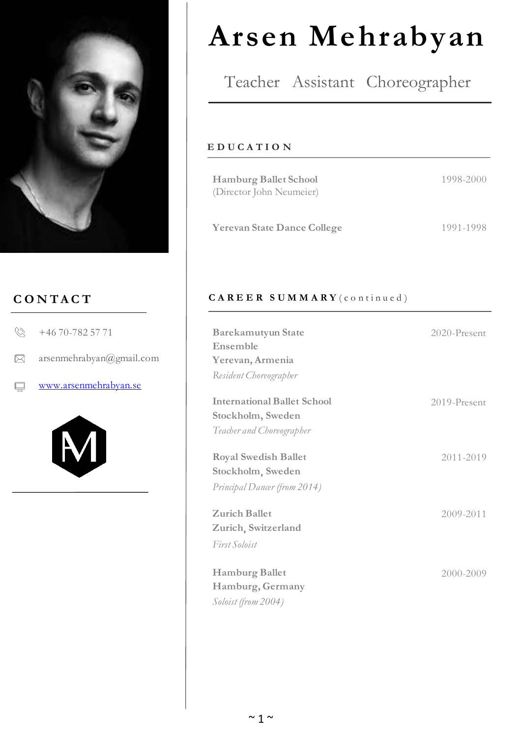

## **C O N T A C T**

| www.arsenmehrabyan.se                |
|--------------------------------------|
| $\boxtimes$ arsenmehrabyan@gmail.com |
| $\& +4670-7825771$                   |



# **Arsen Mehrabyan**

# Teacher Assistant Choreographer

#### **E D U C A T I O N**

| <b>Hamburg Ballet School</b><br>(Director John Neumeier) | 1998-2000 |
|----------------------------------------------------------|-----------|
| <b>Yerevan State Dance College</b>                       | 1991-1998 |

### CAREER SUMMARY (continued)

| <b>Barekamutyun State</b><br>Ensemble<br>Yerevan, Armenia                            | $2020$ -Present |
|--------------------------------------------------------------------------------------|-----------------|
| Resident Choreographer                                                               |                 |
| <b>International Ballet School</b><br>Stockholm, Sweden<br>Teacher and Choreographer | 2019-Present    |
| <b>Royal Swedish Ballet</b><br>Stockholm, Sweden<br>Principal Dancer (from 2014)     | 2011-2019       |
| <b>Zurich Ballet</b><br>Zurich, Switzerland                                          | 2009-2011       |
| First Soloist<br><b>Hamburg Ballet</b><br>Hamburg, Germany<br>Soloist (from 2004)    | 2000-2009       |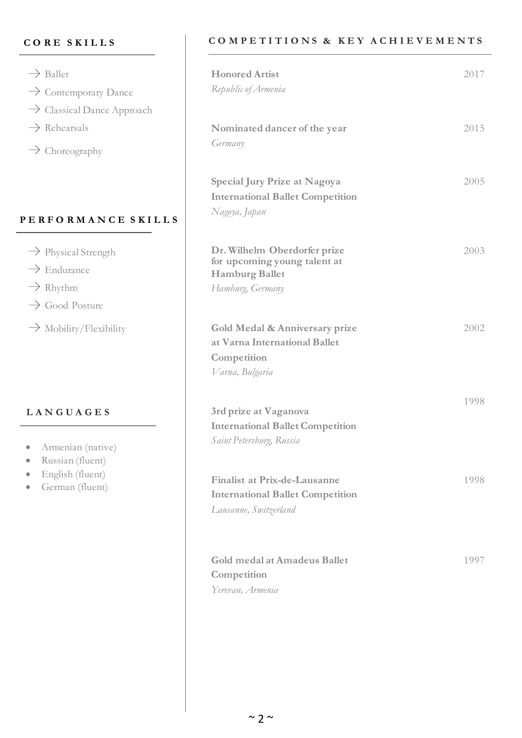#### **C O R E S K I L L S**

| $\rightarrow$ Ballet<br>$\rightarrow$ Contemporary Dance<br>$\rightarrow$ Classical Dance Approach               | <b>Honored Artist</b><br>Republic of Armenia                                                              |
|------------------------------------------------------------------------------------------------------------------|-----------------------------------------------------------------------------------------------------------|
| $\rightarrow$ Rehearsals<br>$\rightarrow$ Choreography                                                           | Nominated dancer of the year<br>Germany                                                                   |
| PERFORMANCE SKILLS                                                                                               | <b>Special Jury Prize at Nagoya</b><br><b>International Ballet Competition</b><br>Nagoya, Japan           |
| $\rightarrow$ Physical Strength<br>$\rightarrow$ Endurance<br>$\rightarrow$ Rhythm<br>$\rightarrow$ Good Posture | Dr. Wilhelm Oberdorfer prize<br>for upcoming young talent at<br><b>Hamburg Ballet</b><br>Hamburg, Germany |
| $\rightarrow$ Mobility/Flexibility                                                                               | Gold Medal & Anniversary prize<br>at Varna International Ballet<br>Competition<br>Varna, Bulgaria         |
| LANGUAGES<br>Armenian (native)<br>Russian (fluent)<br>English (fluent)                                           | 3rd prize at Vaganova<br><b>International Ballet Competition</b><br>Saint Petersburg, Russia              |
| German (fluent)                                                                                                  | <b>Finalist at Prix-de-Lausanne</b><br><b>International Ballet Competition</b><br>Lausanne, Switzerland   |
|                                                                                                                  | Gold medal at Amadeus Ballet<br>Competition<br>Yerevan, Armenia                                           |

#### **C O M P E T I T I O N S & K E Y A C H I E V E M E N T S**

2017

2015

2005

2003

2002

1998

1998

1997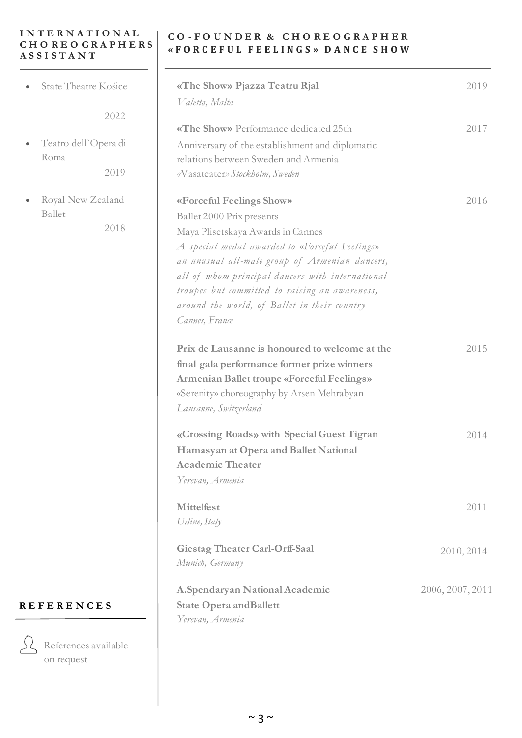#### **I N T E R N A T I O N A L C H O R E O G R A P H E R S A S S I S T A N T**

State Theatre Kośice

2022

 $\overline{\phantom{0}}$ 

- Teatro dell`Opera di Roma 2019
- Royal New Zealand Ballet

2018

#### **C O - F O U N D E R & C H O R E O G R A P H E R « F O R C E F U L F E E L I N G S » D A N C E S H O W**

| «The Show» Pjazza Teatru Rjal<br>Valetta, Malta                                                                                                                                                                                                                                                                                                                        | 2019             |
|------------------------------------------------------------------------------------------------------------------------------------------------------------------------------------------------------------------------------------------------------------------------------------------------------------------------------------------------------------------------|------------------|
| «The Show» Performance dedicated 25th<br>Anniversary of the establishment and diplomatic<br>relations between Sweden and Armenia<br>«Vasateater» Stockholm, Sweden                                                                                                                                                                                                     | 2017             |
| «Forceful Feelings Show»<br>Ballet 2000 Prix presents<br>Maya Plisetskaya Awards in Cannes<br>A special medal awarded to «Forceful Feelings»<br>an unusual all-male group of Armenian dancers,<br>all of whom principal dancers with international<br>troupes but committed to raising an awareness,<br>around the world, of Ballet in their country<br>Cannes, France | 2016             |
| Prix de Lausanne is honoured to welcome at the<br>final gala performance former prize winners<br><b>Armenian Ballet troupe «Forceful Feelings»</b><br>«Serenity» choreography by Arsen Mehrabyan<br>Lausanne, Switzerland                                                                                                                                              | 2015             |
| «Crossing Roads» with Special Guest Tigran<br>Hamasyan at Opera and Ballet National<br><b>Academic Theater</b><br>Yerevan, Armenia                                                                                                                                                                                                                                     | 2014             |
| <b>Mittelfest</b><br>Udine, Italy                                                                                                                                                                                                                                                                                                                                      | 2011             |
| Giestag Theater Carl-Orff-Saal<br>Munich, Germany                                                                                                                                                                                                                                                                                                                      | 2010, 2014       |
| A.Spendaryan National Academic<br><b>State Opera and Ballett</b><br>Yerevan, Armenia                                                                                                                                                                                                                                                                                   | 2006, 2007, 2011 |

#### **R E F E R E N C E S**



References available on request